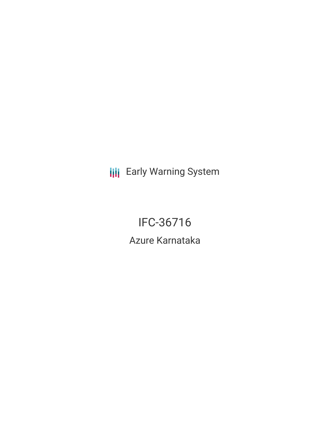**III** Early Warning System

IFC-36716 Azure Karnataka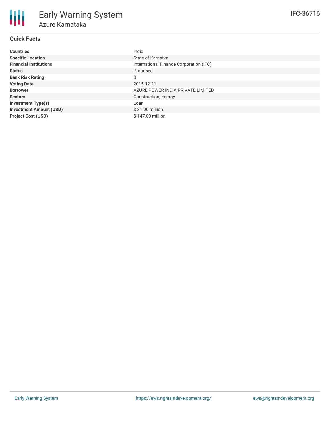# **Quick Facts**

| <b>Countries</b>               | India                                   |
|--------------------------------|-----------------------------------------|
| <b>Specific Location</b>       | State of Karnatka                       |
| <b>Financial Institutions</b>  | International Finance Corporation (IFC) |
| <b>Status</b>                  | Proposed                                |
| <b>Bank Risk Rating</b>        | B                                       |
| <b>Voting Date</b>             | 2015-12-21                              |
| <b>Borrower</b>                | AZURE POWER INDIA PRIVATE LIMITED       |
| <b>Sectors</b>                 | Construction, Energy                    |
| <b>Investment Type(s)</b>      | Loan                                    |
| <b>Investment Amount (USD)</b> | $$31.00$ million                        |
| <b>Project Cost (USD)</b>      | \$147.00 million                        |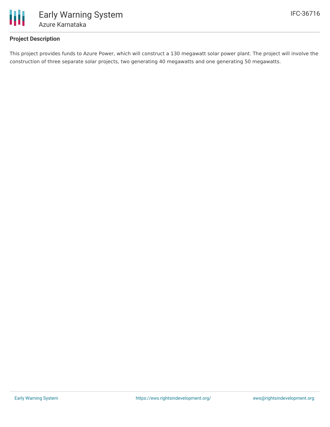

# **Project Description**

This project provides funds to Azure Power, which will construct a 130 megawatt solar power plant. The project will involve the construction of three separate solar projects, two generating 40 megawatts and one generating 50 megawatts.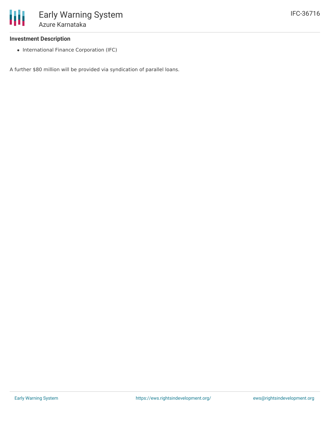#### **Investment Description**

• International Finance Corporation (IFC)

A further \$80 million will be provided via syndication of parallel loans.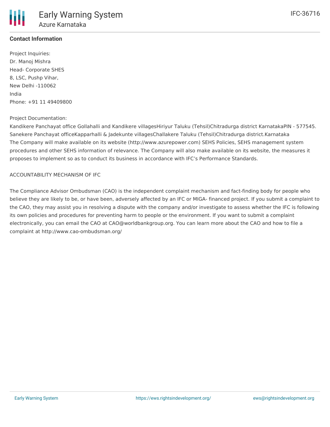# **Contact Information**

Project Inquiries: Dr. Manoj Mishra Head- Corporate SHES 8, LSC, Pushp Vihar, New Delhi -110062 India Phone: +91 11 49409800

#### Project Documentation:

Kandikere Panchayat office Gollahalli and Kandikere villagesHiriyur Taluku (Tehsil)Chitradurga district KarnatakaPIN - 577545. Sanekere Panchayat officeKapparhalli & Jadekunte villagesChallakere Taluku (Tehsil)Chitradurga district.Karnataka The Company will make available on its website (http://www.azurepower.com) SEHS Policies, SEHS management system procedures and other SEHS information of relevance. The Company will also make available on its website, the measures it proposes to implement so as to conduct its business in accordance with IFC's Performance Standards.

#### ACCOUNTABILITY MECHANISM OF IFC

The Compliance Advisor Ombudsman (CAO) is the independent complaint mechanism and fact-finding body for people who believe they are likely to be, or have been, adversely affected by an IFC or MIGA- financed project. If you submit a complaint to the CAO, they may assist you in resolving a dispute with the company and/or investigate to assess whether the IFC is following its own policies and procedures for preventing harm to people or the environment. If you want to submit a complaint electronically, you can email the CAO at CAO@worldbankgroup.org. You can learn more about the CAO and how to file a complaint at http://www.cao-ombudsman.org/